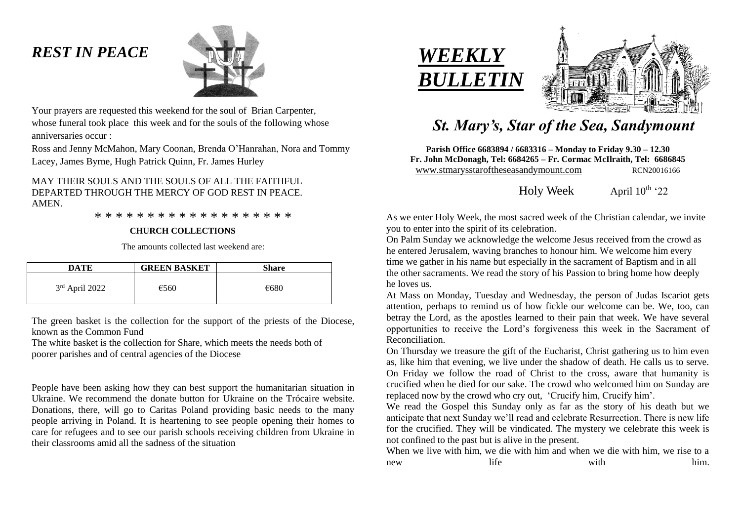# *REST IN PEACE*



Your prayers are requested this weekend for the soul of Brian Carpenter, whose funeral took place this week and for the souls of the following whose anniversaries occur :

Ross and Jenny McMahon, Mary Coonan, Brenda O'Hanrahan, Nora and Tommy Lacey, James Byrne, Hugh Patrick Quinn, Fr. James Hurley

## MAY THEIR SOULS AND THE SOULS OF ALL THE FAITHFUL DEPARTED THROUGH THE MERCY OF GOD REST IN PEACE. AMEN.

\* \* \* \* \* \* \* \* \* \* \* \* \* \* \* \* \* \* \*

#### **CHURCH COLLECTIONS**

The amounts collected last weekend are:

| DATE             | <b>GREEN BASKET</b> | <b>Share</b> |
|------------------|---------------------|--------------|
| $3rd$ April 2022 | €560                | €680         |

The green basket is the collection for the support of the priests of the Diocese, known as the Common Fund

The white basket is the collection for Share, which meets the needs both of poorer parishes and of central agencies of the Diocese

People have been asking how they can best support the humanitarian situation in Ukraine. We recommend the donate button for Ukraine on the Trócaire website. Donations, there, will go to Caritas Poland providing basic needs to the many people arriving in Poland. It is heartening to see people opening their homes to care for refugees and to see our parish schools receiving children from Ukraine in their classrooms amid all the sadness of the situation





## *St. Mary's, Star of the Sea, Sandymount*

**Parish Office 6683894 / 6683316 – Monday to Friday 9.30 – 12.30 Fr. John McDonagh, Tel: 6684265 – Fr. Cormac McIlraith, Tel: 6686845** www.stmarysstaroftheseasandymount.com RCN20016166

Holy Week April  $10^{th}$  '22

As we enter Holy Week, the most sacred week of the Christian calendar, we invite you to enter into the spirit of its celebration.

On Palm Sunday we acknowledge the welcome Jesus received from the crowd as he entered Jerusalem, waving branches to honour him. We welcome him every time we gather in his name but especially in the sacrament of Baptism and in all the other sacraments. We read the story of his Passion to bring home how deeply he loves us.

At Mass on Monday, Tuesday and Wednesday, the person of Judas Iscariot gets attention, perhaps to remind us of how fickle our welcome can be. We, too, can betray the Lord, as the apostles learned to their pain that week. We have several opportunities to receive the Lord's forgiveness this week in the Sacrament of Reconciliation.

On Thursday we treasure the gift of the Eucharist, Christ gathering us to him even as, like him that evening, we live under the shadow of death. He calls us to serve. On Friday we follow the road of Christ to the cross, aware that humanity is crucified when he died for our sake. The crowd who welcomed him on Sunday are replaced now by the crowd who cry out, 'Crucify him, Crucify him'.

We read the Gospel this Sunday only as far as the story of his death but we anticipate that next Sunday we'll read and celebrate Resurrection. There is new life for the crucified. They will be vindicated. The mystery we celebrate this week is not confined to the past but is alive in the present.

When we live with him, we die with him and when we die with him, we rise to a new life him.